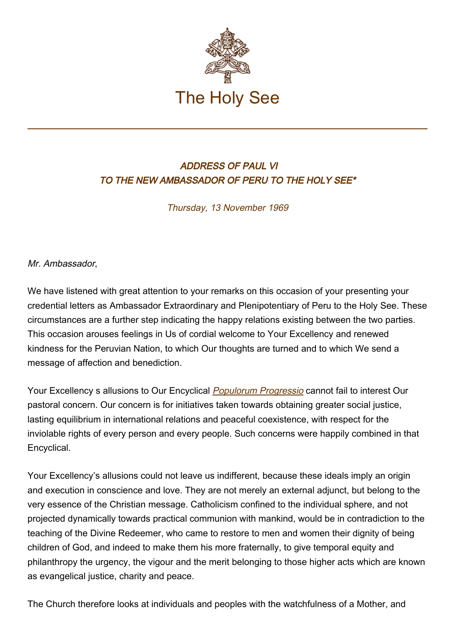

## ADDRESS OF PAUL VI TO THE NEW AMBASSADOR OF PERU TO THE HOLY SEE\*

Thursday, 13 November 1969

Mr. Ambassador,

We have listened with great attention to your remarks on this occasion of your presenting your credential letters as Ambassador Extraordinary and Plenipotentiary of Peru to the Holy See. These circumstances are a further step indicating the happy relations existing between the two parties. This occasion arouses feelings in Us of cordial welcome to Your Excellency and renewed kindness for the Peruvian Nation, to which Our thoughts are turned and to which We send a message of affection and benediction.

Your Excellency s allusions to Our Encyclical [Populorum Progressio](http://w2.vatican.va/content/paul-vi/en/encyclicals/documents/hf_p-vi_enc_26031967_populorum.html) cannot fail to interest Our pastoral concern. Our concern is for initiatives taken towards obtaining greater social justice, lasting equilibrium in international relations and peaceful coexistence, with respect for the inviolable rights of every person and every people. Such concerns were happily combined in that Encyclical.

Your Excellency's allusions could not leave us indifferent, because these ideals imply an origin and execution in conscience and love. They are not merely an external adjunct, but belong to the very essence of the Christian message. Catholicism confined to the individual sphere, and not projected dynamically towards practical communion with mankind, would be in contradiction to the teaching of the Divine Redeemer, who came to restore to men and women their dignity of being children of God, and indeed to make them his more fraternally, to give temporal equity and philanthropy the urgency, the vigour and the merit belonging to those higher acts which are known as evangelical justice, charity and peace.

The Church therefore looks at individuals and peoples with the watchfulness of a Mother, and